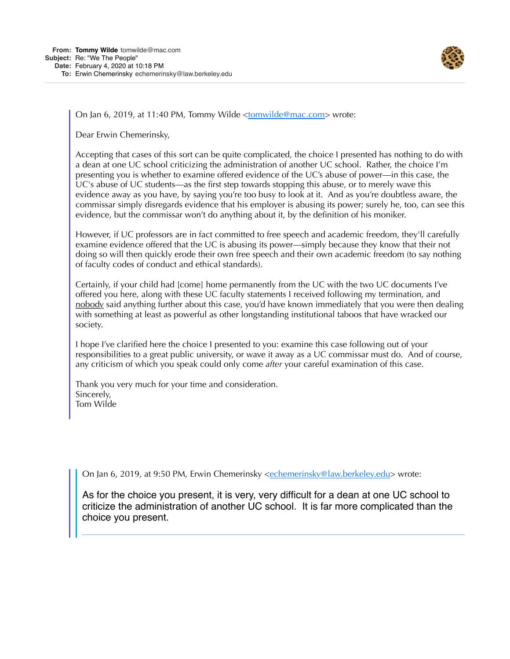

On Jan 6, 2019, at 11:40 PM, Tommy Wilde <[tomwilde@mac.com](mailto:tomwilde@mac.com)> wrote:

Dear Erwin Chemerinsky,

Accepting that cases of this sort can be quite complicated, the choice I presented has nothing to do with a dean at one UC school criticizing the administration of another UC school. Rather, the choice I'm presenting you is whether to examine offered evidence of the UC's abuse of power—in this case, the UC's abuse of UC students—as the first step towards stopping this abuse, or to merely wave this evidence away as you have, by saying you're too busy to look at it. And as you're doubtless aware, the commissar simply disregards evidence that his employer is abusing its power; surely he, too, can see this evidence, but the commissar won't do anything about it, by the definition of his moniker.

However, if UC professors are in fact committed to free speech and academic freedom, they'll carefully examine evidence offered that the UC is abusing its power—simply because they know that their not doing so will then quickly erode their own free speech and their own academic freedom (to say nothing of faculty codes of conduct and ethical standards).

Certainly, if your child had [come] home permanently from the UC with the two UC documents I've offered you here, along with these UC faculty statements I received following my termination, and nobody said anything further about this case, you'd have known immediately that you were then dealing with something at least as powerful as other longstanding institutional taboos that have wracked our society.

I hope I've clarified here the choice I presented to you: examine this case following out of your responsibilities to a great public university, or wave it away as a UC commissar must do. And of course, any criticism of which you speak could only come *after* your careful examination of this case.

Thank you very much for your time and consideration. Sincerely, Tom Wilde

On Jan 6, 2019, at 9:50 PM, Erwin Chemerinsky <[echemerinsky@law.berkeley.edu>](mailto:echemerinsky@law.berkeley.edu) wrote:

As for the choice you present, it is very, very difficult for a dean at one UC school to criticize the administration of another UC school. It is far more complicated than the choice you present.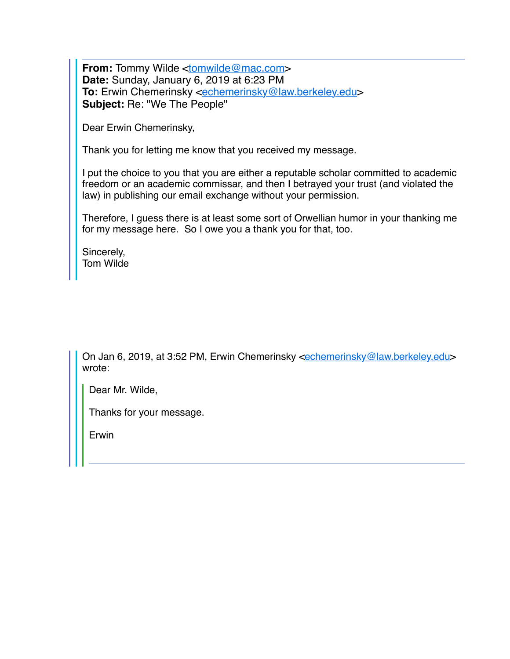**From:** Tommy Wilde [<tomwilde@mac.com>](mailto:tomwilde@mac.com) **Date:** Sunday, January 6, 2019 at 6:23 PM **To:** Erwin Chemerinsky <**[echemerinsky@law.berkeley.edu>](mailto:echemerinsky@law.berkeley.edu) Subject:** Re: "We The People"

Dear Erwin Chemerinsky,

Thank you for letting me know that you received my message.

I put the choice to you that you are either a reputable scholar committed to academic freedom or an academic commissar, and then I betrayed your trust (and violated the law) in publishing our email exchange without your permission.

Therefore, I guess there is at least some sort of Orwellian humor in your thanking me for my message here. So I owe you a thank you for that, too.

Sincerely, Tom Wilde

On Jan 6, 2019, at 3:52 PM, Erwin Chemerinsky <[echemerinsky@law.berkeley.edu>](mailto:echemerinsky@law.berkeley.edu) wrote:

Dear Mr. Wilde,

Thanks for your message.

Erwin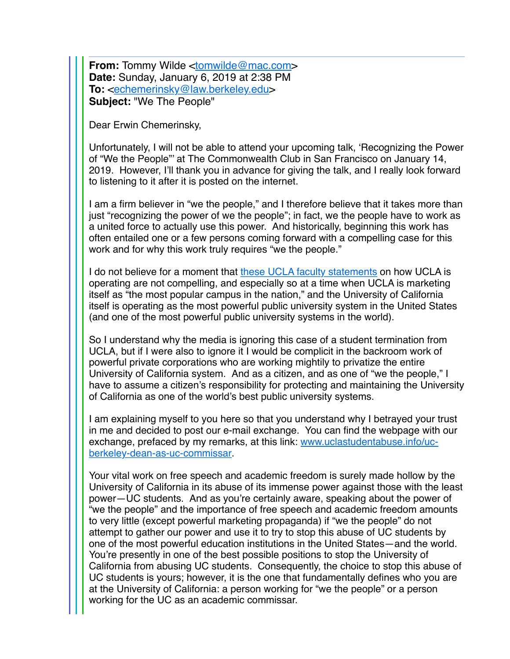**From:** Tommy Wilde [<tomwilde@mac.com>](mailto:tomwilde@mac.com) **Date:** Sunday, January 6, 2019 at 2:38 PM **To:** <[echemerinsky@law.berkeley.edu](mailto:echemerinsky@law.berkeley.edu)> **Subject:** "We The People"

Dear Erwin Chemerinsky,

Unfortunately, I will not be able to attend your upcoming talk, 'Recognizing the Power of "We the People"' at The Commonwealth Club in San Francisco on January 14, 2019. However, I'll thank you in advance for giving the talk, and I really look forward to listening to it after it is posted on the internet.

I am a firm believer in "we the people," and I therefore believe that it takes more than just "recognizing the power of we the people"; in fact, we the people have to work as a united force to actually use this power. And historically, beginning this work has often entailed one or a few persons coming forward with a compelling case for this work and for why this work truly requires "we the people."

I do not believe for a moment that [these UCLA faculty statements](https://www.ucla-student-abuse.info/ucla-faculty-on-ucla-student-abuse) on how UCLA is operating are not compelling, and especially so at a time when UCLA is marketing itself as "the most popular campus in the nation," and the University of California itself is operating as the most powerful public university system in the United States (and one of the most powerful public university systems in the world).

So I understand why the media is ignoring this case of a student termination from UCLA, but if I were also to ignore it I would be complicit in the backroom work of powerful private corporations who are working mightily to privatize the entire University of California system. And as a citizen, and as one of "we the people," I have to assume a citizen's responsibility for protecting and maintaining the University of California as one of the world's best public university systems.

I am explaining myself to you here so that you understand why I betrayed your trust in me and decided to post our e-mail exchange. You can find the webpage with our [exchange, prefaced by my remarks, at this link:](http://www.uclastudentabuse.info/uc-berkeley-dean-as-uc-commissar) www.uclastudentabuse.info/ucberkeley-dean-as-uc-commissar.

Your vital work on free speech and academic freedom is surely made hollow by the University of California in its abuse of its immense power against those with the least power—UC students. And as you're certainly aware, speaking about the power of "we the people" and the importance of free speech and academic freedom amounts to very little (except powerful marketing propaganda) if "we the people" do not attempt to gather our power and use it to try to stop this abuse of UC students by one of the most powerful education institutions in the United States—and the world. You're presently in one of the best possible positions to stop the University of California from abusing UC students. Consequently, the choice to stop this abuse of UC students is yours; however, it is the one that fundamentally defines who you are at the University of California: a person working for "we the people" or a person working for the UC as an academic commissar.